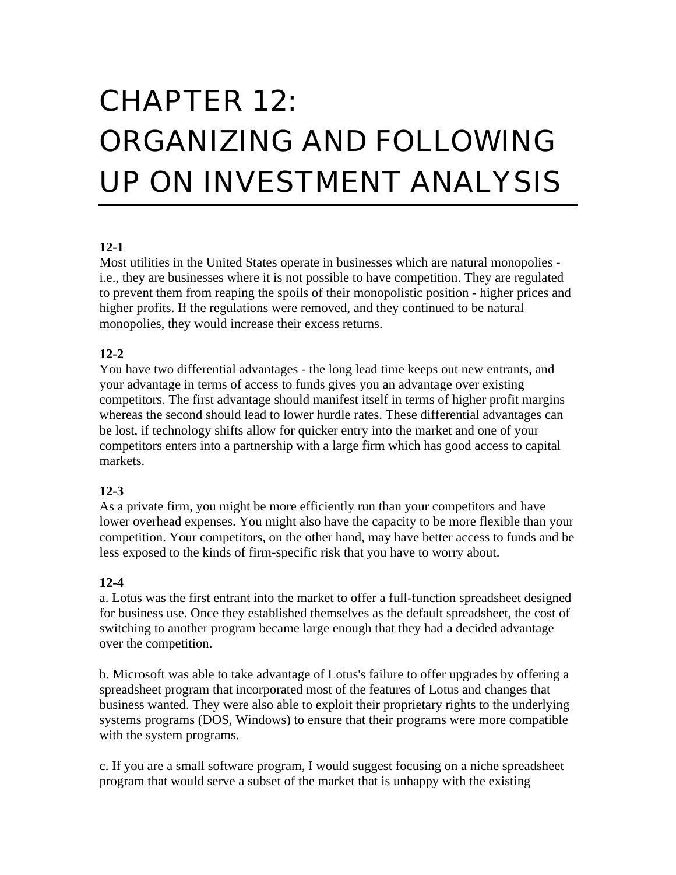# CHAPTER 12: ORGANIZING AND FOLLOWING UP ON INVESTMENT ANALYSIS

#### **12-1**

Most utilities in the United States operate in businesses which are natural monopolies i.e., they are businesses where it is not possible to have competition. They are regulated to prevent them from reaping the spoils of their monopolistic position - higher prices and higher profits. If the regulations were removed, and they continued to be natural monopolies, they would increase their excess returns.

#### **12-2**

You have two differential advantages - the long lead time keeps out new entrants, and your advantage in terms of access to funds gives you an advantage over existing competitors. The first advantage should manifest itself in terms of higher profit margins whereas the second should lead to lower hurdle rates. These differential advantages can be lost, if technology shifts allow for quicker entry into the market and one of your competitors enters into a partnership with a large firm which has good access to capital markets.

#### **12-3**

As a private firm, you might be more efficiently run than your competitors and have lower overhead expenses. You might also have the capacity to be more flexible than your competition. Your competitors, on the other hand, may have better access to funds and be less exposed to the kinds of firm-specific risk that you have to worry about.

#### **12-4**

a. Lotus was the first entrant into the market to offer a full-function spreadsheet designed for business use. Once they established themselves as the default spreadsheet, the cost of switching to another program became large enough that they had a decided advantage over the competition.

b. Microsoft was able to take advantage of Lotus's failure to offer upgrades by offering a spreadsheet program that incorporated most of the features of Lotus and changes that business wanted. They were also able to exploit their proprietary rights to the underlying systems programs (DOS, Windows) to ensure that their programs were more compatible with the system programs.

c. If you are a small software program, I would suggest focusing on a niche spreadsheet program that would serve a subset of the market that is unhappy with the existing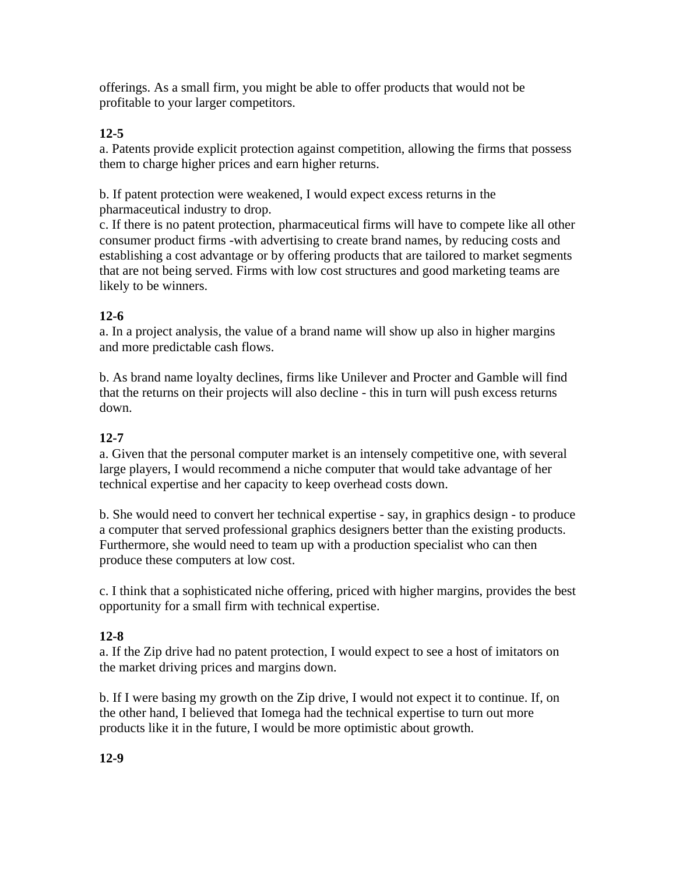offerings. As a small firm, you might be able to offer products that would not be profitable to your larger competitors.

# **12-5**

a. Patents provide explicit protection against competition, allowing the firms that possess them to charge higher prices and earn higher returns.

b. If patent protection were weakened, I would expect excess returns in the pharmaceutical industry to drop.

c. If there is no patent protection, pharmaceutical firms will have to compete like all other consumer product firms -with advertising to create brand names, by reducing costs and establishing a cost advantage or by offering products that are tailored to market segments that are not being served. Firms with low cost structures and good marketing teams are likely to be winners.

# **12-6**

a. In a project analysis, the value of a brand name will show up also in higher margins and more predictable cash flows.

b. As brand name loyalty declines, firms like Unilever and Procter and Gamble will find that the returns on their projects will also decline - this in turn will push excess returns down.

## **12-7**

a. Given that the personal computer market is an intensely competitive one, with several large players, I would recommend a niche computer that would take advantage of her technical expertise and her capacity to keep overhead costs down.

b. She would need to convert her technical expertise - say, in graphics design - to produce a computer that served professional graphics designers better than the existing products. Furthermore, she would need to team up with a production specialist who can then produce these computers at low cost.

c. I think that a sophisticated niche offering, priced with higher margins, provides the best opportunity for a small firm with technical expertise.

# **12-8**

a. If the Zip drive had no patent protection, I would expect to see a host of imitators on the market driving prices and margins down.

b. If I were basing my growth on the Zip drive, I would not expect it to continue. If, on the other hand, I believed that Iomega had the technical expertise to turn out more products like it in the future, I would be more optimistic about growth.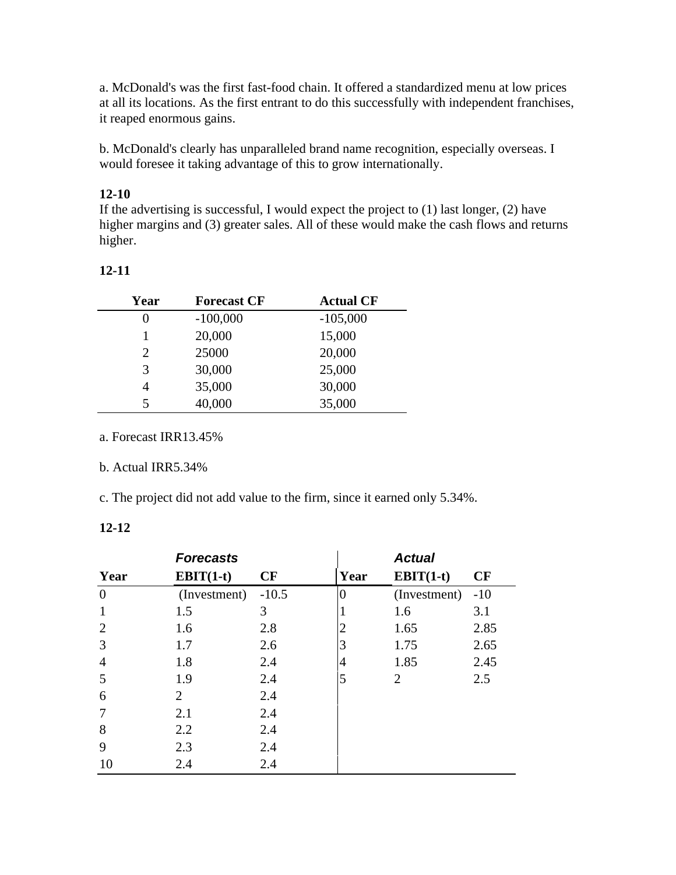a. McDonald's was the first fast-food chain. It offered a standardized menu at low prices at all its locations. As the first entrant to do this successfully with independent franchises, it reaped enormous gains.

b. McDonald's clearly has unparalleled brand name recognition, especially overseas. I would foresee it taking advantage of this to grow internationally.

#### **12-10**

If the advertising is successful, I would expect the project to (1) last longer, (2) have higher margins and (3) greater sales. All of these would make the cash flows and returns higher.

|--|--|

| Year | <b>Forecast CF</b> | <b>Actual CF</b> |
|------|--------------------|------------------|
|      | $-100,000$         | $-105,000$       |
|      | 20,000             | 15,000           |
| 2    | 25000              | 20,000           |
| 3    | 30,000             | 25,000           |
|      | 35,000             | 30,000           |
|      | 40,000             | 35,000           |
|      |                    |                  |

a. Forecast IRR13.45%

b. Actual IRR5.34%

c. The project did not add value to the firm, since it earned only 5.34%.

|                | <b>Forecasts</b> |         |      | <b>Actual</b>  |       |
|----------------|------------------|---------|------|----------------|-------|
| Year           | $EBIT(1-t)$      | CF      | Year | $EBIT(1-t)$    | CF    |
| $\theta$       | (Investment)     | $-10.5$ |      | (Investment)   | $-10$ |
|                | 1.5              | 3       |      | 1.6            | 3.1   |
| $\overline{2}$ | 1.6              | 2.8     |      | 1.65           | 2.85  |
| 3              | 1.7              | 2.6     |      | 1.75           | 2.65  |
| $\overline{4}$ | 1.8              | 2.4     | 4    | 1.85           | 2.45  |
| 5              | 1.9              | 2.4     | 5    | $\overline{2}$ | 2.5   |
| 6              | $\overline{2}$   | 2.4     |      |                |       |
| 7              | 2.1              | 2.4     |      |                |       |
| 8              | 2.2              | 2.4     |      |                |       |
| 9              | 2.3              | 2.4     |      |                |       |
| 10             | 2.4              | 2.4     |      |                |       |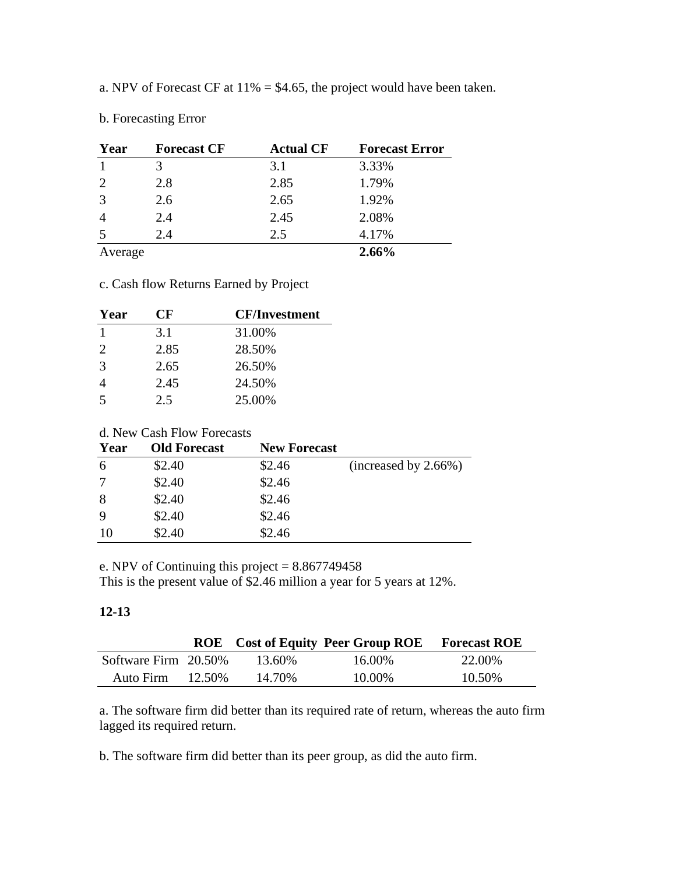a. NPV of Forecast CF at 11% = \$4.65, the project would have been taken.

| Year                        | <b>Forecast CF</b> | <b>Actual CF</b> | <b>Forecast Error</b> |
|-----------------------------|--------------------|------------------|-----------------------|
|                             |                    | 3.1              | 3.33%                 |
| $\mathcal{D}_{\mathcal{L}}$ | 2.8                | 2.85             | 1.79%                 |
|                             | 2.6                | 2.65             | 1.92%                 |
|                             | 2.4                | 2.45             | 2.08%                 |
|                             | 2.4                | 2.5              | 4.17%                 |
| Average                     |                    |                  | 2.66%                 |

b. Forecasting Error

c. Cash flow Returns Earned by Project

| Year                     | CF   | <b>CF/Investment</b> |
|--------------------------|------|----------------------|
|                          | 3.1  | 31.00%               |
| 2                        | 2.85 | 28.50%               |
| $\mathcal{R}$            | 2.65 | 26.50%               |
|                          | 2.45 | 24.50%               |
| $\overline{\mathcal{L}}$ | 2.5  | 25.00%               |
|                          |      |                      |

#### d. New Cash Flow Forecasts

| Year | <b>Old Forecast</b> | <b>New Forecast</b> |                          |
|------|---------------------|---------------------|--------------------------|
| 6    | \$2.40              | \$2.46              | (increased by $2.66\%$ ) |
| 7    | \$2.40              | \$2.46              |                          |
| 8    | \$2.40              | \$2.46              |                          |
| 9    | \$2.40              | \$2.46              |                          |
| 10   | \$2.40              | \$2.46              |                          |

e. NPV of Continuing this project =  $8.867749458$ This is the present value of \$2.46 million a year for 5 years at 12%.

#### **12-13**

|                      |        |        | <b>ROE</b> Cost of Equity Peer Group ROE Forecast ROE |        |
|----------------------|--------|--------|-------------------------------------------------------|--------|
| Software Firm 20.50% |        | 13.60% | 16.00%                                                | 22.00% |
| Auto Firm            | 12.50% | 14.70% | 10.00%                                                | 10.50% |

a. The software firm did better than its required rate of return, whereas the auto firm lagged its required return.

b. The software firm did better than its peer group, as did the auto firm.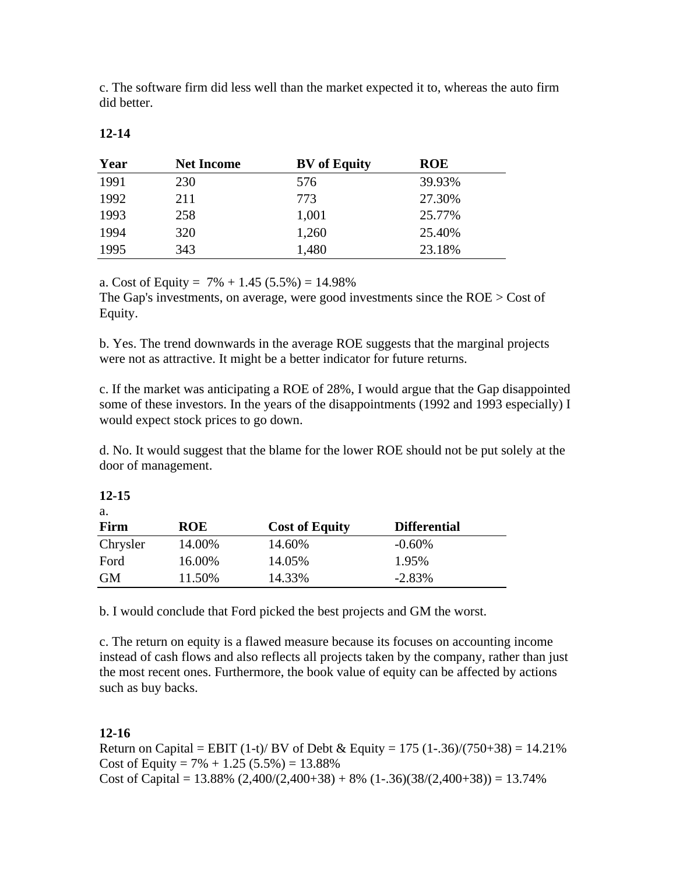c. The software firm did less well than the market expected it to, whereas the auto firm did better.

| Year | <b>Net Income</b> | <b>BV</b> of Equity | <b>ROE</b> |
|------|-------------------|---------------------|------------|
| 1991 | 230               | 576                 | 39.93%     |
| 1992 | 211               | 773                 | 27.30%     |
| 1993 | 258               | 1,001               | 25.77%     |
| 1994 | 320               | 1,260               | 25.40%     |
| 1995 | 343               | 1,480               | 23.18%     |

**12-14**

a. Cost of Equity =  $7\% + 1.45(5.5\%) = 14.98\%$ 

The Gap's investments, on average, were good investments since the ROE > Cost of Equity.

b. Yes. The trend downwards in the average ROE suggests that the marginal projects were not as attractive. It might be a better indicator for future returns.

c. If the market was anticipating a ROE of 28%, I would argue that the Gap disappointed some of these investors. In the years of the disappointments (1992 and 1993 especially) I would expect stock prices to go down.

d. No. It would suggest that the blame for the lower ROE should not be put solely at the door of management.

|  | ×<br>۰. |
|--|---------|
|--|---------|

| a.<br>Firm | <b>ROE</b> | <b>Cost of Equity</b> | <b>Differential</b> |
|------------|------------|-----------------------|---------------------|
| Chrysler   | 14.00%     | 14.60%                | $-0.60\%$           |
| Ford       | 16.00%     | 14.05%                | 1.95%               |
| <b>GM</b>  | 11.50%     | 14.33%                | $-2.83%$            |

b. I would conclude that Ford picked the best projects and GM the worst.

c. The return on equity is a flawed measure because its focuses on accounting income instead of cash flows and also reflects all projects taken by the company, rather than just the most recent ones. Furthermore, the book value of equity can be affected by actions such as buy backs.

# **12-16**

Return on Capital = EBIT (1-t)/ BV of Debt & Equity =  $175$  (1-.36)/(750+38) = 14.21% Cost of Equity =  $7\% + 1.25(5.5\%) = 13.88\%$ Cost of Capital =  $13.88\%$  (2,400/(2,400+38) + 8% (1-.36)(38/(2,400+38)) = 13.74%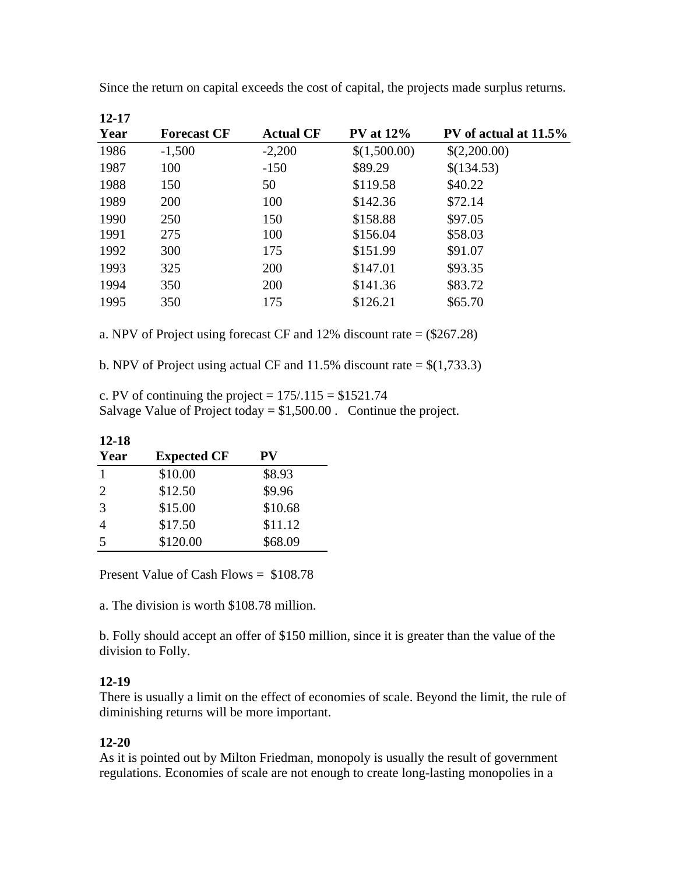| $12 - 17$ |                    |                  |                |                          |
|-----------|--------------------|------------------|----------------|--------------------------|
| Year      | <b>Forecast CF</b> | <b>Actual CF</b> | $PV$ at $12\%$ | PV of actual at $11.5\%$ |
| 1986      | $-1,500$           | $-2,200$         | \$(1,500.00)   | \$(2,200.00)             |
| 1987      | 100                | $-150$           | \$89.29        | \$(134.53)               |
| 1988      | 150                | 50               | \$119.58       | \$40.22                  |
| 1989      | 200                | 100              | \$142.36       | \$72.14                  |
| 1990      | 250                | 150              | \$158.88       | \$97.05                  |
| 1991      | 275                | 100              | \$156.04       | \$58.03                  |
| 1992      | 300                | 175              | \$151.99       | \$91.07                  |
| 1993      | 325                | 200              | \$147.01       | \$93.35                  |
| 1994      | 350                | 200              | \$141.36       | \$83.72                  |
| 1995      | 350                | 175              | \$126.21       | \$65.70                  |

Since the return on capital exceeds the cost of capital, the projects made surplus returns.

a. NPV of Project using forecast CF and 12% discount rate = (\$267.28)

b. NPV of Project using actual CF and 11.5% discount rate  $=$  \$(1,733.3)

c. PV of continuing the project =  $175/115 = $1521.74$ Salvage Value of Project today =  $$1,500.00$ . Continue the project.

| $12 - 18$     |                    |         |
|---------------|--------------------|---------|
| Year          | <b>Expected CF</b> | PV      |
|               | \$10.00            | \$8.93  |
| 2             | \$12.50            | \$9.96  |
| $\mathcal{R}$ | \$15.00            | \$10.68 |
| 4             | \$17.50            | \$11.12 |
| 5             | \$120.00           | \$68.09 |

Present Value of Cash Flows = \$108.78

a. The division is worth \$108.78 million.

b. Folly should accept an offer of \$150 million, since it is greater than the value of the division to Folly.

#### **12-19**

There is usually a limit on the effect of economies of scale. Beyond the limit, the rule of diminishing returns will be more important.

#### **12-20**

As it is pointed out by Milton Friedman, monopoly is usually the result of government regulations. Economies of scale are not enough to create long-lasting monopolies in a